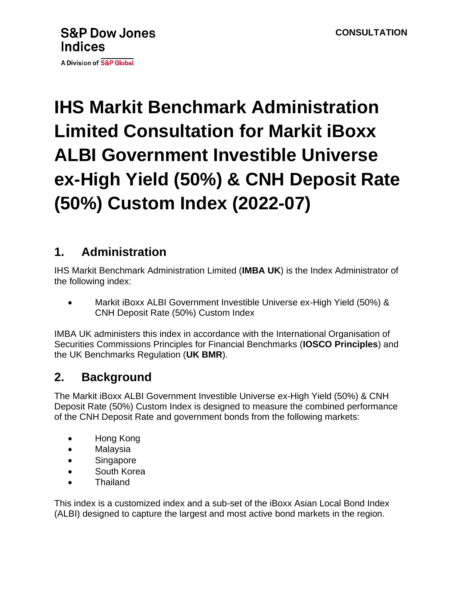A Division of S&P Global

# **IHS Markit Benchmark Administration Limited Consultation for Markit iBoxx ALBI Government Investible Universe ex-High Yield (50%) & CNH Deposit Rate (50%) Custom Index (2022-07)**

### **1. Administration**

IHS Markit Benchmark Administration Limited (**IMBA UK**) is the Index Administrator of the following index:

• Markit iBoxx ALBI Government Investible Universe ex-High Yield (50%) & CNH Deposit Rate (50%) Custom Index

IMBA UK administers this index in accordance with the International Organisation of Securities Commissions Principles for Financial Benchmarks (**IOSCO Principles**) and the UK Benchmarks Regulation (**UK BMR**).

# **2. Background**

The Markit iBoxx ALBI Government Investible Universe ex-High Yield (50%) & CNH Deposit Rate (50%) Custom Index is designed to measure the combined performance of the CNH Deposit Rate and government bonds from the following markets:

- Hong Kong
- Malaysia
- Singapore
- South Korea
- Thailand

This index is a customized index and a sub-set of the iBoxx Asian Local Bond Index (ALBI) designed to capture the largest and most active bond markets in the region.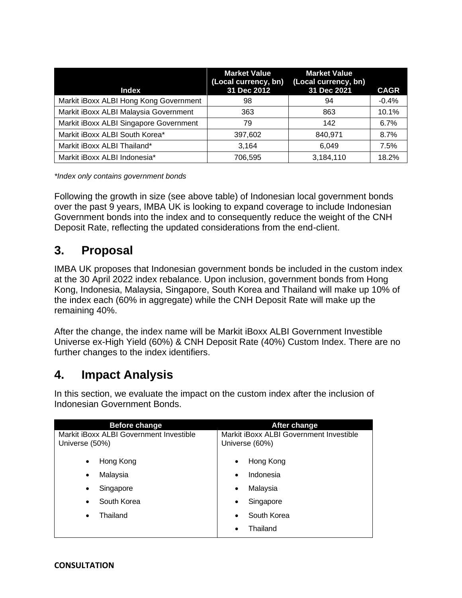| <b>Index</b>                           | <b>Market Value</b><br>(Local currency, bn)<br>31 Dec 2012 | <b>Market Value</b><br>(Local currency, bn)<br>31 Dec 2021 | <b>CAGR</b> |
|----------------------------------------|------------------------------------------------------------|------------------------------------------------------------|-------------|
| Markit iBoxx ALBI Hong Kong Government | 98                                                         | 94                                                         | $-0.4%$     |
| Markit iBoxx ALBI Malaysia Government  | 363                                                        | 863                                                        | 10.1%       |
| Markit iBoxx ALBI Singapore Government | 79                                                         | 142                                                        | 6.7%        |
| Markit iBoxx ALBI South Korea*         | 397,602                                                    | 840,971                                                    | 8.7%        |
| Markit iBoxx ALBI Thailand*            | 3.164                                                      | 6,049                                                      | 7.5%        |
| Markit iBoxx ALBI Indonesia*           | 706,595                                                    | 3,184,110                                                  | 18.2%       |

*\*Index only contains government bonds*

Following the growth in size (see above table) of Indonesian local government bonds over the past 9 years, IMBA UK is looking to expand coverage to include Indonesian Government bonds into the index and to consequently reduce the weight of the CNH Deposit Rate, reflecting the updated considerations from the end-client.

#### **3. Proposal**

IMBA UK proposes that Indonesian government bonds be included in the custom index at the 30 April 2022 index rebalance. Upon inclusion, government bonds from Hong Kong, Indonesia, Malaysia, Singapore, South Korea and Thailand will make up 10% of the index each (60% in aggregate) while the CNH Deposit Rate will make up the remaining 40%.

After the change, the index name will be Markit iBoxx ALBI Government Investible Universe ex-High Yield (60%) & CNH Deposit Rate (40%) Custom Index. There are no further changes to the index identifiers.

#### **4. Impact Analysis**

In this section, we evaluate the impact on the custom index after the inclusion of Indonesian Government Bonds.

| <b>Before change</b><br>After change    |                                         |  |
|-----------------------------------------|-----------------------------------------|--|
| Markit iBoxx ALBI Government Investible | Markit iBoxx ALBI Government Investible |  |
| Universe (50%)                          | Universe (60%)                          |  |
| Hong Kong<br>$\bullet$                  | Hong Kong<br>٠                          |  |
| Malaysia<br>$\bullet$                   | Indonesia                               |  |
| Singapore<br>$\bullet$                  | Malaysia<br>٠                           |  |
| South Korea<br>$\bullet$                | Singapore                               |  |
| Thailand<br>٠                           | South Korea                             |  |
|                                         | Thailand                                |  |